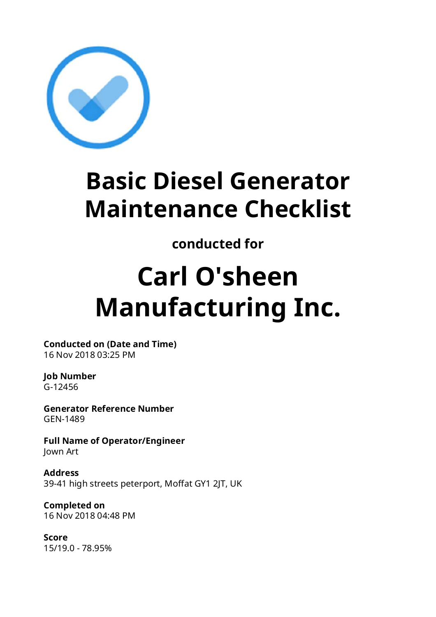

## **Basic Diesel Generator Maintenance Checklist**

## **conducted for**

# **Carl O'sheen Manufacturing Inc.**

**Conducted on (Date and Time)** 16 Nov 2018 03:25 PM

#### **Job Number** G-12456

**Generator Reference Number** GEN-1489

**Full Name of Operator/Engineer**  Jown Art

**Address** 39-41 high streets peterport, Moffat GY1 2JT, UK

**Completed on** 16 Nov 2018 04:48 PM

**Score** 15/19.0 - 78.95%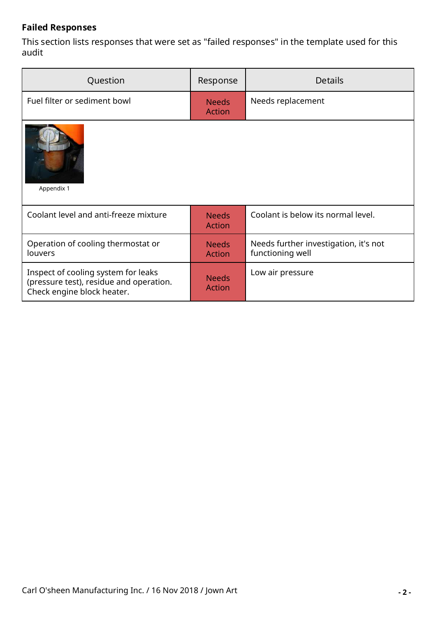#### **Failed Responses**

This section lists responses that were set as "failed responses" in the template used for this audit

| Question                                                                                                     | Response                      | <b>Details</b>                                            |  |
|--------------------------------------------------------------------------------------------------------------|-------------------------------|-----------------------------------------------------------|--|
| Fuel filter or sediment bowl                                                                                 | <b>Needs</b><br><b>Action</b> | Needs replacement                                         |  |
| Appendix 1                                                                                                   |                               |                                                           |  |
| Coolant level and anti-freeze mixture                                                                        | <b>Needs</b><br><b>Action</b> | Coolant is below its normal level.                        |  |
| Operation of cooling thermostat or<br>louvers                                                                | <b>Needs</b><br><b>Action</b> | Needs further investigation, it's not<br>functioning well |  |
| Inspect of cooling system for leaks<br>(pressure test), residue and operation.<br>Check engine block heater. | <b>Needs</b><br><b>Action</b> | Low air pressure                                          |  |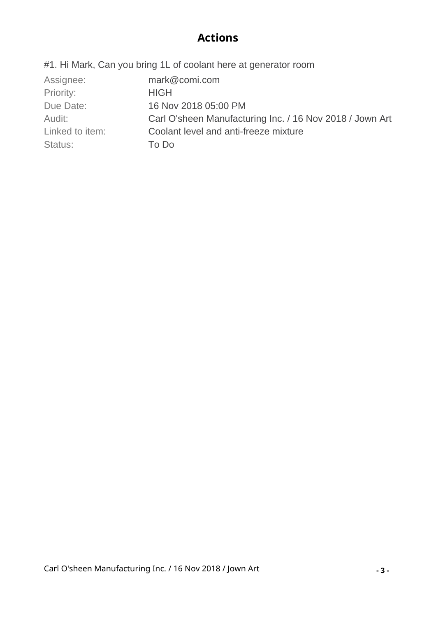#### **Actions**

#1. Hi Mark, Can you bring 1L of coolant here at generator room

| Assignee:       | mark@comi.com                                            |
|-----------------|----------------------------------------------------------|
| Priority:       | <b>HIGH</b>                                              |
| Due Date:       | 16 Nov 2018 05:00 PM                                     |
| Audit:          | Carl O'sheen Manufacturing Inc. / 16 Nov 2018 / Jown Art |
| Linked to item: | Coolant level and anti-freeze mixture                    |
| Status:         | To Do                                                    |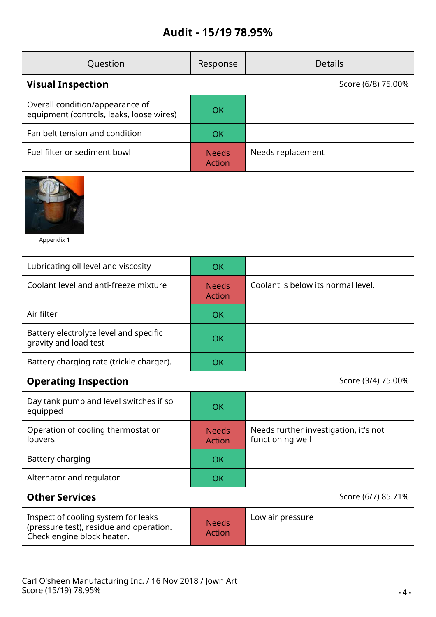### **Audit - 15/19 78.95%**

| Question                                                                                                     | Response                      | <b>Details</b>                                            |  |  |
|--------------------------------------------------------------------------------------------------------------|-------------------------------|-----------------------------------------------------------|--|--|
| <b>Visual Inspection</b>                                                                                     | Score (6/8) 75.00%            |                                                           |  |  |
| Overall condition/appearance of<br>equipment (controls, leaks, loose wires)                                  | OK                            |                                                           |  |  |
| Fan belt tension and condition                                                                               | <b>OK</b>                     |                                                           |  |  |
| Fuel filter or sediment bowl                                                                                 | <b>Needs</b><br><b>Action</b> | Needs replacement                                         |  |  |
| Appendix 1                                                                                                   |                               |                                                           |  |  |
| Lubricating oil level and viscosity                                                                          | <b>OK</b>                     |                                                           |  |  |
| Coolant level and anti-freeze mixture                                                                        | <b>Needs</b><br><b>Action</b> | Coolant is below its normal level.                        |  |  |
| Air filter                                                                                                   | <b>OK</b>                     |                                                           |  |  |
| Battery electrolyte level and specific<br>gravity and load test                                              | OK                            |                                                           |  |  |
| Battery charging rate (trickle charger).                                                                     | <b>OK</b>                     |                                                           |  |  |
| <b>Operating Inspection</b>                                                                                  | Score (3/4) 75.00%            |                                                           |  |  |
| Day tank pump and level switches if so<br>equipped                                                           | <b>OK</b>                     |                                                           |  |  |
| Operation of cooling thermostat or<br>louvers                                                                | <b>Needs</b><br><b>Action</b> | Needs further investigation, it's not<br>functioning well |  |  |
| Battery charging                                                                                             | <b>OK</b>                     |                                                           |  |  |
| Alternator and regulator                                                                                     | <b>OK</b>                     |                                                           |  |  |
| <b>Other Services</b><br>Score (6/7) 85.71%                                                                  |                               |                                                           |  |  |
| Inspect of cooling system for leaks<br>(pressure test), residue and operation.<br>Check engine block heater. | <b>Needs</b><br><b>Action</b> | Low air pressure                                          |  |  |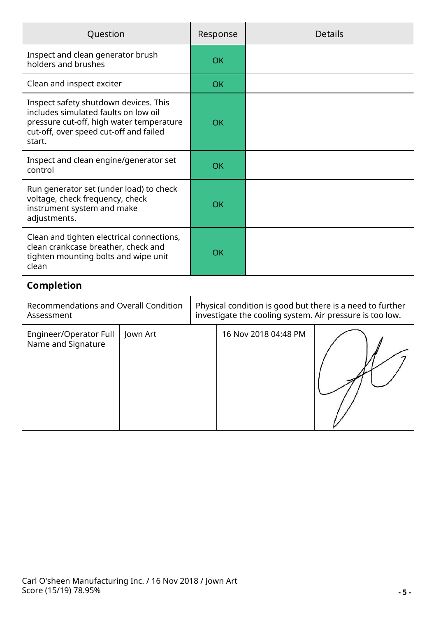| Question                                                                                                                                                                      |                                              | Response |           | <b>Details</b>                                                                                                        |  |
|-------------------------------------------------------------------------------------------------------------------------------------------------------------------------------|----------------------------------------------|----------|-----------|-----------------------------------------------------------------------------------------------------------------------|--|
| Inspect and clean generator brush<br>holders and brushes                                                                                                                      |                                              |          | OK        |                                                                                                                       |  |
| Clean and inspect exciter                                                                                                                                                     |                                              |          | <b>OK</b> |                                                                                                                       |  |
| Inspect safety shutdown devices. This<br>includes simulated faults on low oil<br>pressure cut-off, high water temperature<br>cut-off, over speed cut-off and failed<br>start. |                                              |          | <b>OK</b> |                                                                                                                       |  |
| Inspect and clean engine/generator set<br>control                                                                                                                             |                                              |          | OK        |                                                                                                                       |  |
| Run generator set (under load) to check<br>voltage, check frequency, check<br>instrument system and make<br>adjustments.                                                      |                                              |          | <b>OK</b> |                                                                                                                       |  |
| Clean and tighten electrical connections,<br>clean crankcase breather, check and<br>tighten mounting bolts and wipe unit<br>clean                                             |                                              |          | OK        |                                                                                                                       |  |
| <b>Completion</b>                                                                                                                                                             |                                              |          |           |                                                                                                                       |  |
| Assessment                                                                                                                                                                    | <b>Recommendations and Overall Condition</b> |          |           | Physical condition is good but there is a need to further<br>investigate the cooling system. Air pressure is too low. |  |
| Engineer/Operator Full<br>Name and Signature                                                                                                                                  | Jown Art                                     |          |           | 16 Nov 2018 04:48 PM                                                                                                  |  |